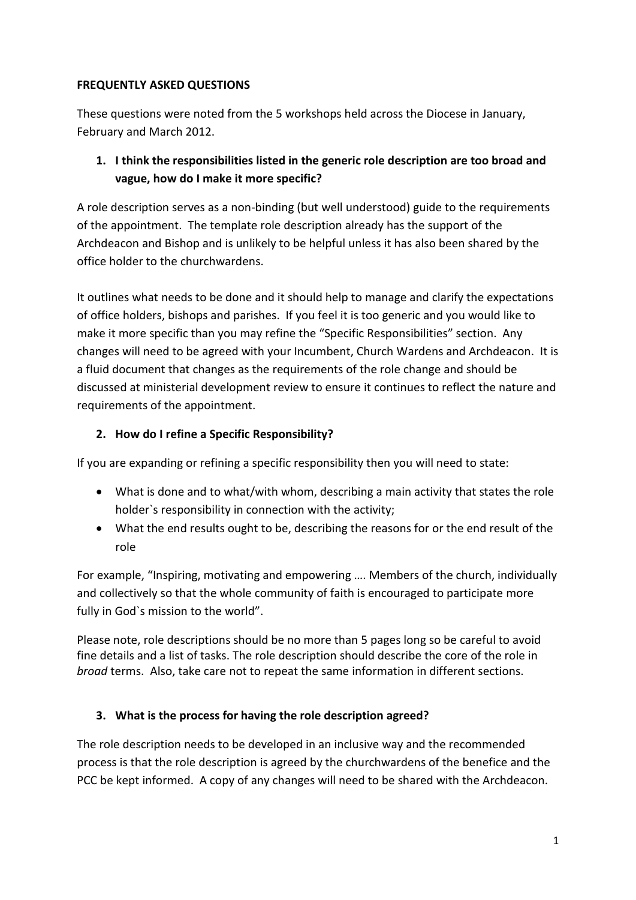#### **FREQUENTLY ASKED QUESTIONS**

These questions were noted from the 5 workshops held across the Diocese in January, February and March 2012.

## **1. I think the responsibilities listed in the generic role description are too broad and vague, how do I make it more specific?**

A role description serves as a non-binding (but well understood) guide to the requirements of the appointment. The template role description already has the support of the Archdeacon and Bishop and is unlikely to be helpful unless it has also been shared by the office holder to the churchwardens.

It outlines what needs to be done and it should help to manage and clarify the expectations of office holders, bishops and parishes. If you feel it is too generic and you would like to make it more specific than you may refine the "Specific Responsibilities" section. Any changes will need to be agreed with your Incumbent, Church Wardens and Archdeacon. It is a fluid document that changes as the requirements of the role change and should be discussed at ministerial development review to ensure it continues to reflect the nature and requirements of the appointment.

#### **2. How do I refine a Specific Responsibility?**

If you are expanding or refining a specific responsibility then you will need to state:

- What is done and to what/with whom, describing a main activity that states the role holder`s responsibility in connection with the activity;
- What the end results ought to be, describing the reasons for or the end result of the role

For example, "Inspiring, motivating and empowering …. Members of the church, individually and collectively so that the whole community of faith is encouraged to participate more fully in God`s mission to the world".

Please note, role descriptions should be no more than 5 pages long so be careful to avoid fine details and a list of tasks. The role description should describe the core of the role in *broad* terms. Also, take care not to repeat the same information in different sections.

#### **3. What is the process for having the role description agreed?**

The role description needs to be developed in an inclusive way and the recommended process is that the role description is agreed by the churchwardens of the benefice and the PCC be kept informed. A copy of any changes will need to be shared with the Archdeacon.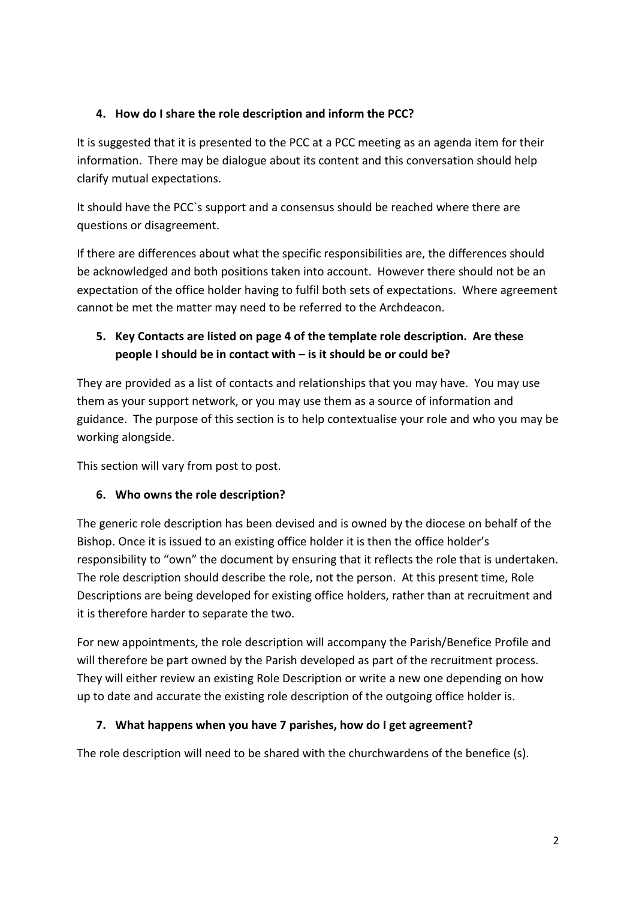#### **4. How do I share the role description and inform the PCC?**

It is suggested that it is presented to the PCC at a PCC meeting as an agenda item for their information. There may be dialogue about its content and this conversation should help clarify mutual expectations.

It should have the PCC`s support and a consensus should be reached where there are questions or disagreement.

If there are differences about what the specific responsibilities are, the differences should be acknowledged and both positions taken into account. However there should not be an expectation of the office holder having to fulfil both sets of expectations. Where agreement cannot be met the matter may need to be referred to the Archdeacon.

# **5. Key Contacts are listed on page 4 of the template role description. Are these people I should be in contact with – is it should be or could be?**

They are provided as a list of contacts and relationships that you may have. You may use them as your support network, or you may use them as a source of information and guidance. The purpose of this section is to help contextualise your role and who you may be working alongside.

This section will vary from post to post.

## **6. Who owns the role description?**

The generic role description has been devised and is owned by the diocese on behalf of the Bishop. Once it is issued to an existing office holder it is then the office holder's responsibility to "own" the document by ensuring that it reflects the role that is undertaken. The role description should describe the role, not the person. At this present time, Role Descriptions are being developed for existing office holders, rather than at recruitment and it is therefore harder to separate the two.

For new appointments, the role description will accompany the Parish/Benefice Profile and will therefore be part owned by the Parish developed as part of the recruitment process. They will either review an existing Role Description or write a new one depending on how up to date and accurate the existing role description of the outgoing office holder is.

#### **7. What happens when you have 7 parishes, how do I get agreement?**

The role description will need to be shared with the churchwardens of the benefice (s).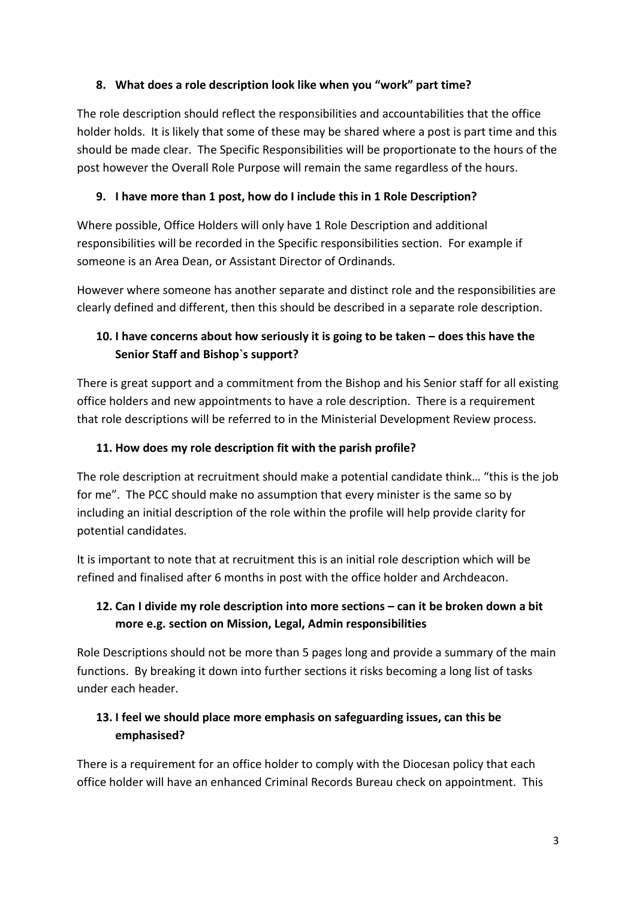### **8. What does a role description look like when you "work" part time?**

The role description should reflect the responsibilities and accountabilities that the office holder holds. It is likely that some of these may be shared where a post is part time and this should be made clear. The Specific Responsibilities will be proportionate to the hours of the post however the Overall Role Purpose will remain the same regardless of the hours.

### **9. I have more than 1 post, how do I include this in 1 Role Description?**

Where possible, Office Holders will only have 1 Role Description and additional responsibilities will be recorded in the Specific responsibilities section. For example if someone is an Area Dean, or Assistant Director of Ordinands.

However where someone has another separate and distinct role and the responsibilities are clearly defined and different, then this should be described in a separate role description.

# **10. I have concerns about how seriously it is going to be taken – does this have the Senior Staff and Bishop`s support?**

There is great support and a commitment from the Bishop and his Senior staff for all existing office holders and new appointments to have a role description. There is a requirement that role descriptions will be referred to in the Ministerial Development Review process.

### **11. How does my role description fit with the parish profile?**

The role description at recruitment should make a potential candidate think… "this is the job for me". The PCC should make no assumption that every minister is the same so by including an initial description of the role within the profile will help provide clarity for potential candidates.

It is important to note that at recruitment this is an initial role description which will be refined and finalised after 6 months in post with the office holder and Archdeacon.

# **12. Can I divide my role description into more sections – can it be broken down a bit more e.g. section on Mission, Legal, Admin responsibilities**

Role Descriptions should not be more than 5 pages long and provide a summary of the main functions. By breaking it down into further sections it risks becoming a long list of tasks under each header.

## **13. I feel we should place more emphasis on safeguarding issues, can this be emphasised?**

There is a requirement for an office holder to comply with the Diocesan policy that each office holder will have an enhanced Criminal Records Bureau check on appointment. This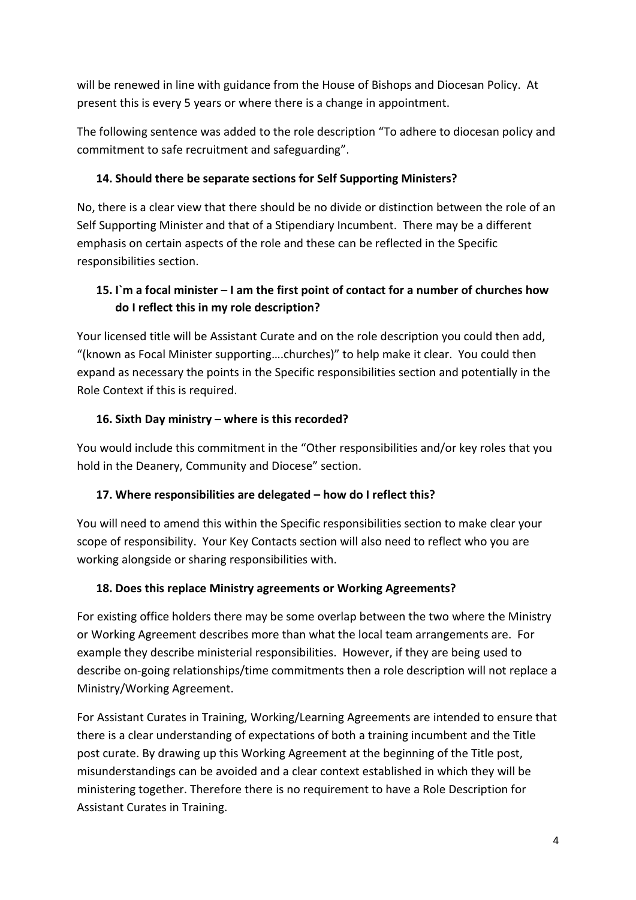will be renewed in line with guidance from the House of Bishops and Diocesan Policy. At present this is every 5 years or where there is a change in appointment.

The following sentence was added to the role description "To adhere to diocesan policy and commitment to safe recruitment and safeguarding".

### **14. Should there be separate sections for Self Supporting Ministers?**

No, there is a clear view that there should be no divide or distinction between the role of an Self Supporting Minister and that of a Stipendiary Incumbent. There may be a different emphasis on certain aspects of the role and these can be reflected in the Specific responsibilities section.

## **15. I`m a focal minister – I am the first point of contact for a number of churches how do I reflect this in my role description?**

Your licensed title will be Assistant Curate and on the role description you could then add, "(known as Focal Minister supporting….churches)" to help make it clear. You could then expand as necessary the points in the Specific responsibilities section and potentially in the Role Context if this is required.

### **16. Sixth Day ministry – where is this recorded?**

You would include this commitment in the "Other responsibilities and/or key roles that you hold in the Deanery, Community and Diocese" section.

## **17. Where responsibilities are delegated – how do I reflect this?**

You will need to amend this within the Specific responsibilities section to make clear your scope of responsibility. Your Key Contacts section will also need to reflect who you are working alongside or sharing responsibilities with.

## **18. Does this replace Ministry agreements or Working Agreements?**

For existing office holders there may be some overlap between the two where the Ministry or Working Agreement describes more than what the local team arrangements are. For example they describe ministerial responsibilities. However, if they are being used to describe on-going relationships/time commitments then a role description will not replace a Ministry/Working Agreement.

For Assistant Curates in Training, Working/Learning Agreements are intended to ensure that there is a clear understanding of expectations of both a training incumbent and the Title post curate. By drawing up this Working Agreement at the beginning of the Title post, misunderstandings can be avoided and a clear context established in which they will be ministering together. Therefore there is no requirement to have a Role Description for Assistant Curates in Training.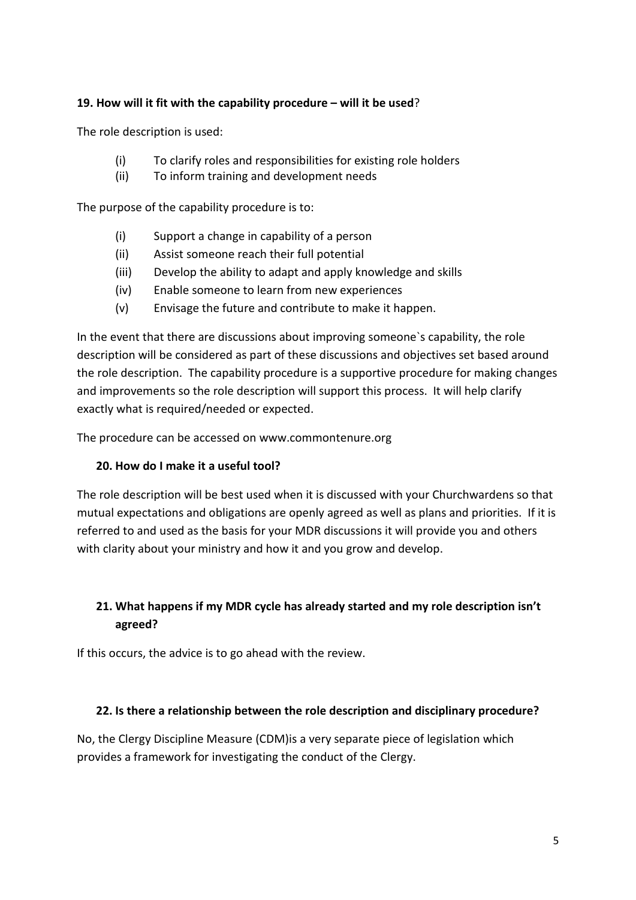#### **19. How will it fit with the capability procedure – will it be used**?

The role description is used:

- (i) To clarify roles and responsibilities for existing role holders
- (ii) To inform training and development needs

The purpose of the capability procedure is to:

- (i) Support a change in capability of a person
- (ii) Assist someone reach their full potential
- (iii) Develop the ability to adapt and apply knowledge and skills
- (iv) Enable someone to learn from new experiences
- (v) Envisage the future and contribute to make it happen.

In the event that there are discussions about improving someone`s capability, the role description will be considered as part of these discussions and objectives set based around the role description. The capability procedure is a supportive procedure for making changes and improvements so the role description will support this process. It will help clarify exactly what is required/needed or expected.

The procedure can be accessed on www.commontenure.org

#### **20. How do I make it a useful tool?**

The role description will be best used when it is discussed with your Churchwardens so that mutual expectations and obligations are openly agreed as well as plans and priorities. If it is referred to and used as the basis for your MDR discussions it will provide you and others with clarity about your ministry and how it and you grow and develop.

## **21. What happens if my MDR cycle has already started and my role description isn't agreed?**

If this occurs, the advice is to go ahead with the review.

#### **22. Is there a relationship between the role description and disciplinary procedure?**

No, the Clergy Discipline Measure (CDM)is a very separate piece of legislation which provides a framework for investigating the conduct of the Clergy.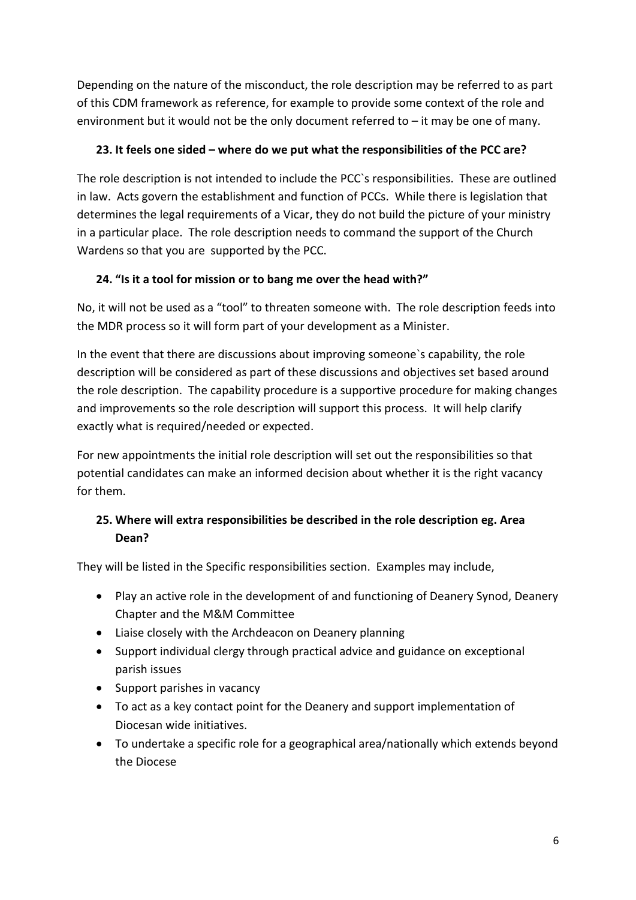Depending on the nature of the misconduct, the role description may be referred to as part of this CDM framework as reference, for example to provide some context of the role and environment but it would not be the only document referred to  $-$  it may be one of many.

### **23. It feels one sided – where do we put what the responsibilities of the PCC are?**

The role description is not intended to include the PCC`s responsibilities. These are outlined in law. Acts govern the establishment and function of PCCs. While there is legislation that determines the legal requirements of a Vicar, they do not build the picture of your ministry in a particular place. The role description needs to command the support of the Church Wardens so that you are supported by the PCC.

## **24. "Is it a tool for mission or to bang me over the head with?"**

No, it will not be used as a "tool" to threaten someone with. The role description feeds into the MDR process so it will form part of your development as a Minister.

In the event that there are discussions about improving someone`s capability, the role description will be considered as part of these discussions and objectives set based around the role description. The capability procedure is a supportive procedure for making changes and improvements so the role description will support this process. It will help clarify exactly what is required/needed or expected.

For new appointments the initial role description will set out the responsibilities so that potential candidates can make an informed decision about whether it is the right vacancy for them.

# **25. Where will extra responsibilities be described in the role description eg. Area Dean?**

They will be listed in the Specific responsibilities section. Examples may include,

- Play an active role in the development of and functioning of Deanery Synod, Deanery Chapter and the M&M Committee
- Liaise closely with the Archdeacon on Deanery planning
- Support individual clergy through practical advice and guidance on exceptional parish issues
- Support parishes in vacancy
- To act as a key contact point for the Deanery and support implementation of Diocesan wide initiatives.
- To undertake a specific role for a geographical area/nationally which extends beyond the Diocese